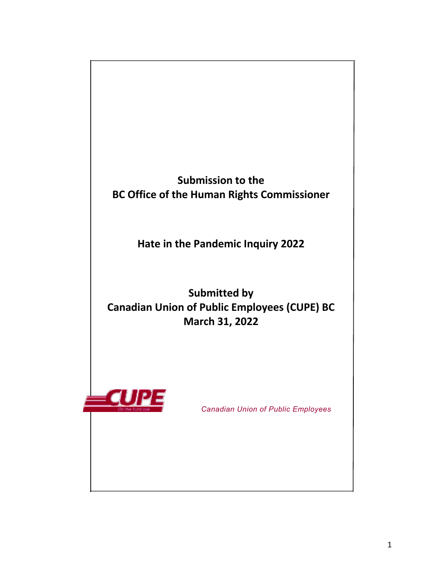

**Hate in the Pandemic Inquiry 2022**

**Submitted by Canadian Union of Public Employees (CUPE) BC March 31, 2022**



 *Canadian Union of Public Employees*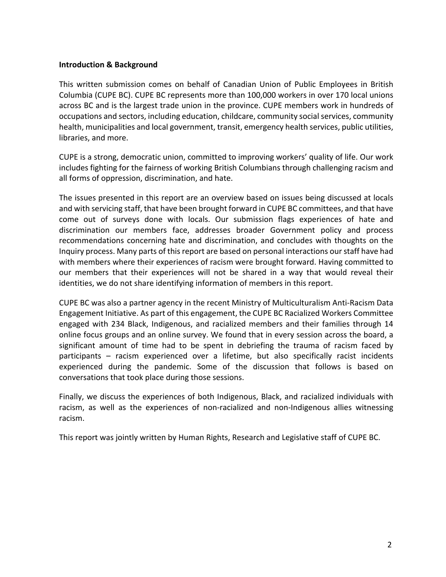#### **Introduction & Background**

This written submission comes on behalf of Canadian Union of Public Employees in British Columbia (CUPE BC). CUPE BC represents more than 100,000 workers in over 170 local unions across BC and is the largest trade union in the province. CUPE members work in hundreds of occupations and sectors, including education, childcare, community social services, community health, municipalities and local government, transit, emergency health services, public utilities, libraries, and more.

CUPE is a strong, democratic union, committed to improving workers' quality of life. Our work includes fighting for the fairness of working British Columbians through challenging racism and all forms of oppression, discrimination, and hate.

The issues presented in this report are an overview based on issues being discussed at locals and with servicing staff, that have been brought forward in CUPE BC committees, and that have come out of surveys done with locals. Our submission flags experiences of hate and discrimination our members face, addresses broader Government policy and process recommendations concerning hate and discrimination, and concludes with thoughts on the Inquiry process. Many parts of this report are based on personal interactions our staff have had with members where their experiences of racism were brought forward. Having committed to our members that their experiences will not be shared in a way that would reveal their identities, we do not share identifying information of members in this report.

CUPE BC was also a partner agency in the recent Ministry of Multiculturalism Anti-Racism Data Engagement Initiative. As part of this engagement, the CUPE BC Racialized Workers Committee engaged with 234 Black, Indigenous, and racialized members and their families through 14 online focus groups and an online survey. We found that in every session across the board, a significant amount of time had to be spent in debriefing the trauma of racism faced by participants – racism experienced over a lifetime, but also specifically racist incidents experienced during the pandemic. Some of the discussion that follows is based on conversations that took place during those sessions.

Finally, we discuss the experiences of both Indigenous, Black, and racialized individuals with racism, as well as the experiences of non-racialized and non-Indigenous allies witnessing racism.

This report was jointly written by Human Rights, Research and Legislative staff of CUPE BC.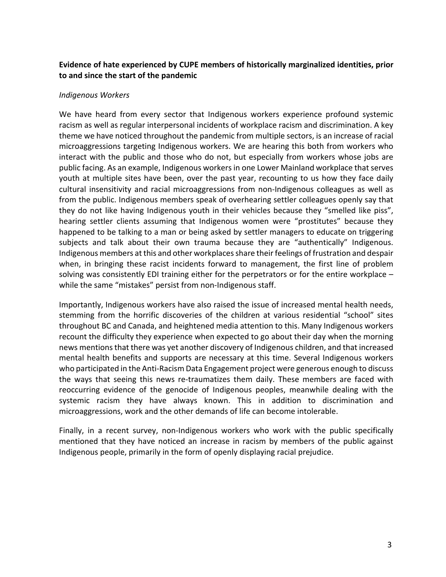# **Evidence of hate experienced by CUPE members of historically marginalized identities, prior to and since the start of the pandemic**

### *Indigenous Workers*

We have heard from every sector that Indigenous workers experience profound systemic racism as well as regular interpersonal incidents of workplace racism and discrimination. A key theme we have noticed throughout the pandemic from multiple sectors, is an increase of racial microaggressions targeting Indigenous workers. We are hearing this both from workers who interact with the public and those who do not, but especially from workers whose jobs are public facing. As an example, Indigenous workers in one Lower Mainland workplace that serves youth at multiple sites have been, over the past year, recounting to us how they face daily cultural insensitivity and racial microaggressions from non-Indigenous colleagues as well as from the public. Indigenous members speak of overhearing settler colleagues openly say that they do not like having Indigenous youth in their vehicles because they "smelled like piss", hearing settler clients assuming that Indigenous women were "prostitutes" because they happened to be talking to a man or being asked by settler managers to educate on triggering subjects and talk about their own trauma because they are "authentically" Indigenous. Indigenous members at this and other workplaces share their feelings of frustration and despair when, in bringing these racist incidents forward to management, the first line of problem solving was consistently EDI training either for the perpetrators or for the entire workplace – while the same "mistakes" persist from non-Indigenous staff.

Importantly, Indigenous workers have also raised the issue of increased mental health needs, stemming from the horrific discoveries of the children at various residential "school" sites throughout BC and Canada, and heightened media attention to this. Many Indigenous workers recount the difficulty they experience when expected to go about their day when the morning news mentions that there was yet another discovery of Indigenous children, and that increased mental health benefits and supports are necessary at this time. Several Indigenous workers who participated in the Anti-Racism Data Engagement project were generous enough to discuss the ways that seeing this news re-traumatizes them daily. These members are faced with reoccurring evidence of the genocide of Indigenous peoples, meanwhile dealing with the systemic racism they have always known. This in addition to discrimination and microaggressions, work and the other demands of life can become intolerable.

Finally, in a recent survey, non-Indigenous workers who work with the public specifically mentioned that they have noticed an increase in racism by members of the public against Indigenous people, primarily in the form of openly displaying racial prejudice.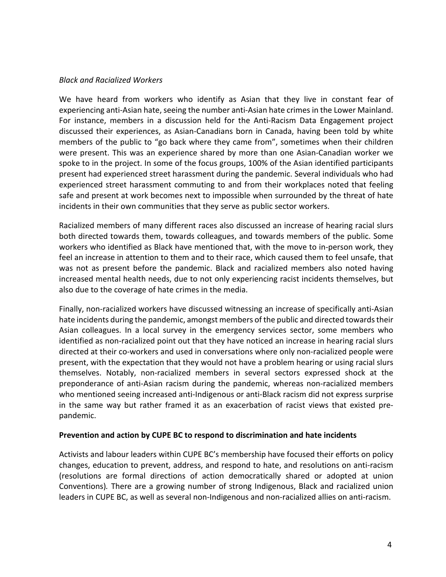### *Black and Racialized Workers*

We have heard from workers who identify as Asian that they live in constant fear of experiencing anti-Asian hate, seeing the number anti-Asian hate crimes in the Lower Mainland. For instance, members in a discussion held for the Anti-Racism Data Engagement project discussed their experiences, as Asian-Canadians born in Canada, having been told by white members of the public to "go back where they came from", sometimes when their children were present. This was an experience shared by more than one Asian-Canadian worker we spoke to in the project. In some of the focus groups, 100% of the Asian identified participants present had experienced street harassment during the pandemic. Several individuals who had experienced street harassment commuting to and from their workplaces noted that feeling safe and present at work becomes next to impossible when surrounded by the threat of hate incidents in their own communities that they serve as public sector workers.

Racialized members of many different races also discussed an increase of hearing racial slurs both directed towards them, towards colleagues, and towards members of the public. Some workers who identified as Black have mentioned that, with the move to in-person work, they feel an increase in attention to them and to their race, which caused them to feel unsafe, that was not as present before the pandemic. Black and racialized members also noted having increased mental health needs, due to not only experiencing racist incidents themselves, but also due to the coverage of hate crimes in the media.

Finally, non-racialized workers have discussed witnessing an increase of specifically anti-Asian hate incidents during the pandemic, amongst members of the public and directed towards their Asian colleagues. In a local survey in the emergency services sector, some members who identified as non-racialized point out that they have noticed an increase in hearing racial slurs directed at their co-workers and used in conversations where only non-racialized people were present, with the expectation that they would not have a problem hearing or using racial slurs themselves. Notably, non-racialized members in several sectors expressed shock at the preponderance of anti-Asian racism during the pandemic, whereas non-racialized members who mentioned seeing increased anti-Indigenous or anti-Black racism did not express surprise in the same way but rather framed it as an exacerbation of racist views that existed prepandemic.

#### **Prevention and action by CUPE BC to respond to discrimination and hate incidents**

Activists and labour leaders within CUPE BC's membership have focused their efforts on policy changes, education to prevent, address, and respond to hate, and resolutions on anti-racism (resolutions are formal directions of action democratically shared or adopted at union Conventions)*.* There are a growing number of strong Indigenous, Black and racialized union leaders in CUPE BC, as well as several non-Indigenous and non-racialized allies on anti-racism.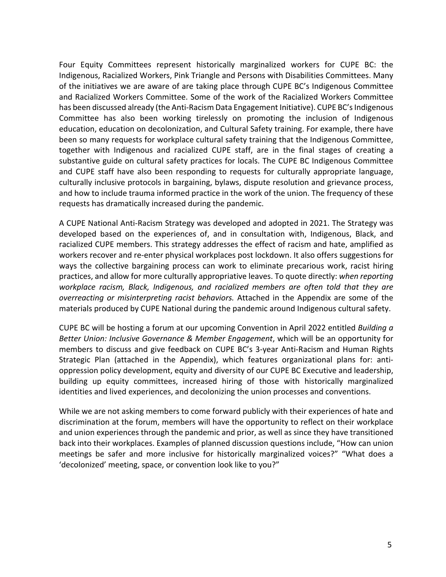Four Equity Committees represent historically marginalized workers for CUPE BC: the Indigenous, Racialized Workers, Pink Triangle and Persons with Disabilities Committees. Many of the initiatives we are aware of are taking place through CUPE BC's Indigenous Committee and Racialized Workers Committee. Some of the work of the Racialized Workers Committee has been discussed already (the Anti-Racism Data Engagement Initiative). CUPE BC's Indigenous Committee has also been working tirelessly on promoting the inclusion of Indigenous education, education on decolonization, and Cultural Safety training. For example, there have been so many requests for workplace cultural safety training that the Indigenous Committee, together with Indigenous and racialized CUPE staff, are in the final stages of creating a substantive guide on cultural safety practices for locals. The CUPE BC Indigenous Committee and CUPE staff have also been responding to requests for culturally appropriate language, culturally inclusive protocols in bargaining, bylaws, dispute resolution and grievance process, and how to include trauma informed practice in the work of the union. The frequency of these requests has dramatically increased during the pandemic.

A CUPE National Anti-Racism Strategy was developed and adopted in 2021. The Strategy was developed based on the experiences of, and in consultation with, Indigenous, Black, and racialized CUPE members. This strategy addresses the effect of racism and hate, amplified as workers recover and re-enter physical workplaces post lockdown. It also offers suggestions for ways the collective bargaining process can work to eliminate precarious work, racist hiring practices, and allow for more culturally appropriative leaves. To quote directly: *when reporting workplace racism, Black, Indigenous, and racialized members are often told that they are overreacting or misinterpreting racist behaviors.* Attached in the Appendix are some of the materials produced by CUPE National during the pandemic around Indigenous cultural safety.

CUPE BC will be hosting a forum at our upcoming Convention in April 2022 entitled *Building a Better Union: Inclusive Governance & Member Engagement*, which will be an opportunity for members to discuss and give feedback on CUPE BC's 3-year Anti-Racism and Human Rights Strategic Plan (attached in the Appendix), which features organizational plans for: antioppression policy development, equity and diversity of our CUPE BC Executive and leadership, building up equity committees, increased hiring of those with historically marginalized identities and lived experiences, and decolonizing the union processes and conventions.

While we are not asking members to come forward publicly with their experiences of hate and discrimination at the forum, members will have the opportunity to reflect on their workplace and union experiences through the pandemic and prior, as well as since they have transitioned back into their workplaces. Examples of planned discussion questions include, "How can union meetings be safer and more inclusive for historically marginalized voices?" "What does a 'decolonized' meeting, space, or convention look like to you?"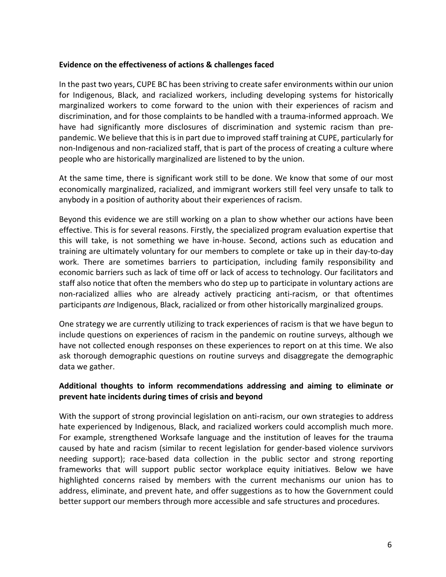#### **Evidence on the effectiveness of actions & challenges faced**

In the past two years, CUPE BC has been striving to create safer environments within our union for Indigenous, Black, and racialized workers, including developing systems for historically marginalized workers to come forward to the union with their experiences of racism and discrimination, and for those complaints to be handled with a trauma-informed approach. We have had significantly more disclosures of discrimination and systemic racism than prepandemic. We believe that this is in part due to improved staff training at CUPE, particularly for non-Indigenous and non-racialized staff, that is part of the process of creating a culture where people who are historically marginalized are listened to by the union.

At the same time, there is significant work still to be done. We know that some of our most economically marginalized, racialized, and immigrant workers still feel very unsafe to talk to anybody in a position of authority about their experiences of racism.

Beyond this evidence we are still working on a plan to show whether our actions have been effective. This is for several reasons. Firstly, the specialized program evaluation expertise that this will take, is not something we have in-house. Second, actions such as education and training are ultimately voluntary for our members to complete or take up in their day-to-day work. There are sometimes barriers to participation, including family responsibility and economic barriers such as lack of time off or lack of access to technology. Our facilitators and staff also notice that often the members who do step up to participate in voluntary actions are non-racialized allies who are already actively practicing anti-racism, or that oftentimes participants *are* Indigenous, Black, racialized or from other historically marginalized groups.

One strategy we are currently utilizing to track experiences of racism is that we have begun to include questions on experiences of racism in the pandemic on routine surveys, although we have not collected enough responses on these experiences to report on at this time. We also ask thorough demographic questions on routine surveys and disaggregate the demographic data we gather.

# **Additional thoughts to inform recommendations addressing and aiming to eliminate or prevent hate incidents during times of crisis and beyond**

With the support of strong provincial legislation on anti-racism, our own strategies to address hate experienced by Indigenous, Black, and racialized workers could accomplish much more. For example, strengthened Worksafe language and the institution of leaves for the trauma caused by hate and racism (similar to recent legislation for gender-based violence survivors needing support); race-based data collection in the public sector and strong reporting frameworks that will support public sector workplace equity initiatives. Below we have highlighted concerns raised by members with the current mechanisms our union has to address, eliminate, and prevent hate, and offer suggestions as to how the Government could better support our members through more accessible and safe structures and procedures.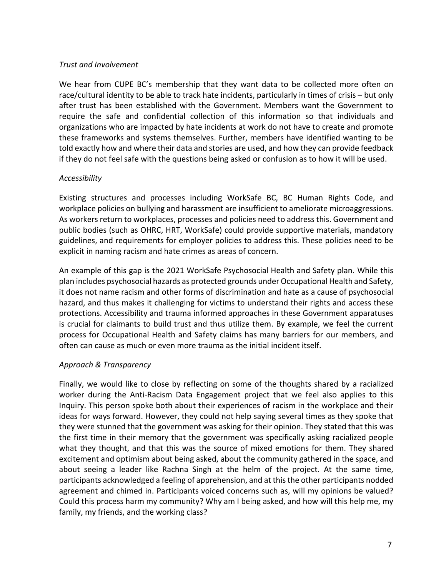### *Trust and Involvement*

We hear from CUPE BC's membership that they want data to be collected more often on race/cultural identity to be able to track hate incidents, particularly in times of crisis – but only after trust has been established with the Government. Members want the Government to require the safe and confidential collection of this information so that individuals and organizations who are impacted by hate incidents at work do not have to create and promote these frameworks and systems themselves. Further, members have identified wanting to be told exactly how and where their data and stories are used, and how they can provide feedback if they do not feel safe with the questions being asked or confusion as to how it will be used.

# *Accessibility*

Existing structures and processes including WorkSafe BC, BC Human Rights Code, and workplace policies on bullying and harassment are insufficient to ameliorate microaggressions. As workers return to workplaces, processes and policies need to address this. Government and public bodies (such as OHRC, HRT, WorkSafe) could provide supportive materials, mandatory guidelines, and requirements for employer policies to address this. These policies need to be explicit in naming racism and hate crimes as areas of concern.

An example of this gap is the 2021 WorkSafe Psychosocial Health and Safety plan. While this plan includes psychosocial hazards as protected grounds under Occupational Health and Safety, it does not name racism and other forms of discrimination and hate as a cause of psychosocial hazard, and thus makes it challenging for victims to understand their rights and access these protections. Accessibility and trauma informed approaches in these Government apparatuses is crucial for claimants to build trust and thus utilize them. By example, we feel the current process for Occupational Health and Safety claims has many barriers for our members, and often can cause as much or even more trauma as the initial incident itself.

# *Approach & Transparency*

Finally, we would like to close by reflecting on some of the thoughts shared by a racialized worker during the Anti-Racism Data Engagement project that we feel also applies to this Inquiry. This person spoke both about their experiences of racism in the workplace and their ideas for ways forward. However, they could not help saying several times as they spoke that they were stunned that the government was asking for their opinion. They stated that this was the first time in their memory that the government was specifically asking racialized people what they thought, and that this was the source of mixed emotions for them. They shared excitement and optimism about being asked, about the community gathered in the space, and about seeing a leader like Rachna Singh at the helm of the project. At the same time, participants acknowledged a feeling of apprehension, and at this the other participants nodded agreement and chimed in. Participants voiced concerns such as, will my opinions be valued? Could this process harm my community? Why am I being asked, and how will this help me, my family, my friends, and the working class?